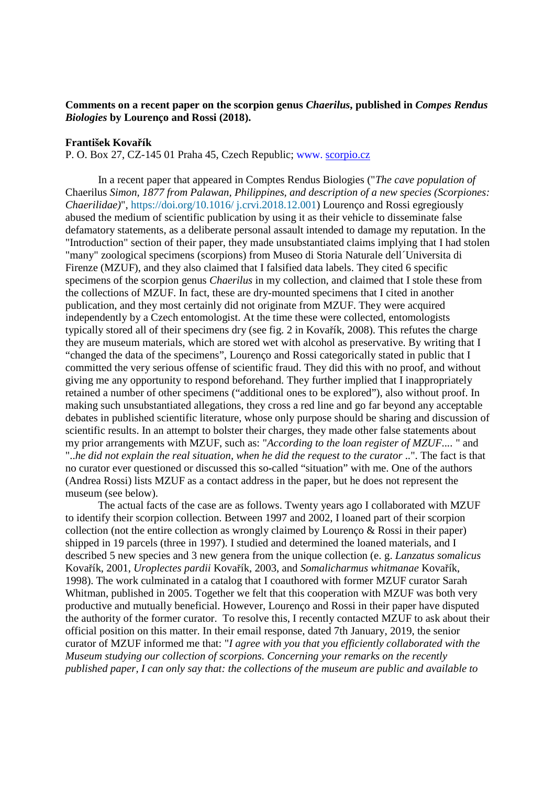## **Comments on a recent paper on the scorpion genus** *Chaerilus***, published in** *Compes Rendus Biologies* **by Lourenço and Rossi (2018).**

## **František Kovařík**

P. O. Box 27, CZ-145 01 Praha 45, Czech Republic; www. scorpio.cz

 In a recent paper that appeared in Comptes Rendus Biologies ("*The cave population of*  Chaerilus *Simon, 1877 from Palawan, Philippines, and description of a new species (Scorpiones: Chaerilidae)*", https://doi.org/10.1016/ j.crvi.2018.12.001) Lourenço and Rossi egregiously abused the medium of scientific publication by using it as their vehicle to disseminate false defamatory statements, as a deliberate personal assault intended to damage my reputation. In the "Introduction" section of their paper, they made unsubstantiated claims implying that I had stolen "many" zoological specimens (scorpions) from Museo di Storia Naturale dell´Universita di Firenze (MZUF), and they also claimed that I falsified data labels. They cited 6 specific specimens of the scorpion genus *Chaerilus* in my collection, and claimed that I stole these from the collections of MZUF. In fact, these are dry-mounted specimens that I cited in another publication, and they most certainly did not originate from MZUF. They were acquired independently by a Czech entomologist. At the time these were collected, entomologists typically stored all of their specimens dry (see fig. 2 in Kovařík, 2008). This refutes the charge they are museum materials, which are stored wet with alcohol as preservative. By writing that I "changed the data of the specimens", Lourenço and Rossi categorically stated in public that I committed the very serious offense of scientific fraud. They did this with no proof, and without giving me any opportunity to respond beforehand. They further implied that I inappropriately retained a number of other specimens ("additional ones to be explored"), also without proof. In making such unsubstantiated allegations, they cross a red line and go far beyond any acceptable debates in published scientific literature, whose only purpose should be sharing and discussion of scientific results. In an attempt to bolster their charges, they made other false statements about my prior arrangements with MZUF, such as: "*According to the loan register of MZUF....* " and "..*he did not explain the real situation, when he did the request to the curator* ..". The fact is that no curator ever questioned or discussed this so-called "situation" with me. One of the authors (Andrea Rossi) lists MZUF as a contact address in the paper, but he does not represent the museum (see below).

 The actual facts of the case are as follows. Twenty years ago I collaborated with MZUF to identify their scorpion collection. Between 1997 and 2002, I loaned part of their scorpion collection (not the entire collection as wrongly claimed by Lourenco  $\&$  Rossi in their paper) shipped in 19 parcels (three in 1997). I studied and determined the loaned materials, and I described 5 new species and 3 new genera from the unique collection (e. g. *Lanzatus somalicus*  Kovařík, 2001, *Uroplectes pardii* Kovařík, 2003, and *Somalicharmus whitmanae* Kovařík, 1998). The work culminated in a catalog that I coauthored with former MZUF curator Sarah Whitman, published in 2005. Together we felt that this cooperation with MZUF was both very productive and mutually beneficial. However, Lourenço and Rossi in their paper have disputed the authority of the former curator. To resolve this, I recently contacted MZUF to ask about their official position on this matter. In their email response, dated 7th January, 2019, the senior curator of MZUF informed me that: "*I agree with you that you efficiently collaborated with the Museum studying our collection of scorpions. Concerning your remarks on the recently published paper, I can only say that: the collections of the museum are public and available to*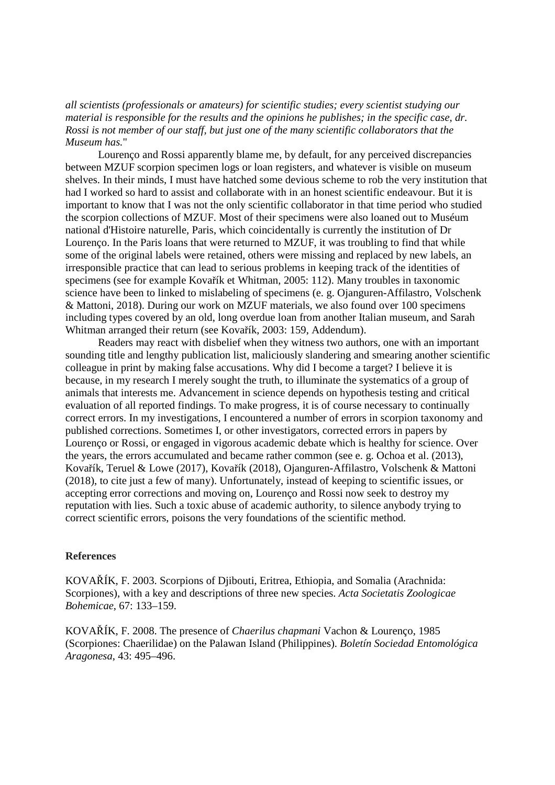## *all scientists (professionals or amateurs) for scientific studies; every scientist studying our material is responsible for the results and the opinions he publishes; in the specific case, dr. Rossi is not member of our staff, but just one of the many scientific collaborators that the Museum has.*"

 Lourenço and Rossi apparently blame me, by default, for any perceived discrepancies between MZUF scorpion specimen logs or loan registers, and whatever is visible on museum shelves. In their minds, I must have hatched some devious scheme to rob the very institution that had I worked so hard to assist and collaborate with in an honest scientific endeavour. But it is important to know that I was not the only scientific collaborator in that time period who studied the scorpion collections of MZUF. Most of their specimens were also loaned out to Muséum national d'Histoire naturelle, Paris, which coincidentally is currently the institution of Dr Lourenço. In the Paris loans that were returned to MZUF, it was troubling to find that while some of the original labels were retained, others were missing and replaced by new labels, an irresponsible practice that can lead to serious problems in keeping track of the identities of specimens (see for example Kovařík et Whitman, 2005: 112). Many troubles in taxonomic science have been to linked to mislabeling of specimens (e. g. Ojanguren-Affilastro, Volschenk & Mattoni, 2018). During our work on MZUF materials, we also found over 100 specimens including types covered by an old, long overdue loan from another Italian museum, and Sarah Whitman arranged their return (see Kovařík, 2003: 159, Addendum).

 Readers may react with disbelief when they witness two authors, one with an important sounding title and lengthy publication list, maliciously slandering and smearing another scientific colleague in print by making false accusations. Why did I become a target? I believe it is because, in my research I merely sought the truth, to illuminate the systematics of a group of animals that interests me. Advancement in science depends on hypothesis testing and critical evaluation of all reported findings. To make progress, it is of course necessary to continually correct errors. In my investigations, I encountered a number of errors in scorpion taxonomy and published corrections. Sometimes I, or other investigators, corrected errors in papers by Lourenço or Rossi, or engaged in vigorous academic debate which is healthy for science. Over the years, the errors accumulated and became rather common (see e. g. Ochoa et al. (2013), Kovařík, Teruel & Lowe (2017), Kovařík (2018), Ojanguren-Affilastro, Volschenk & Mattoni (2018), to cite just a few of many). Unfortunately, instead of keeping to scientific issues, or accepting error corrections and moving on, Lourenço and Rossi now seek to destroy my reputation with lies. Such a toxic abuse of academic authority, to silence anybody trying to correct scientific errors, poisons the very foundations of the scientific method.

## **References**

KOVAŘÍK, F. 2003. Scorpions of Djibouti, Eritrea, Ethiopia, and Somalia (Arachnida: Scorpiones), with a key and descriptions of three new species. *Acta Societatis Zoologicae Bohemicae*, 67: 133–159.

KOVAŘÍK, F. 2008. The presence of *Chaerilus chapmani* Vachon & Lourenço, 1985 (Scorpiones: Chaerilidae) on the Palawan Island (Philippines). *Boletín Sociedad Entomológica Aragonesa*, 43: 495–496.